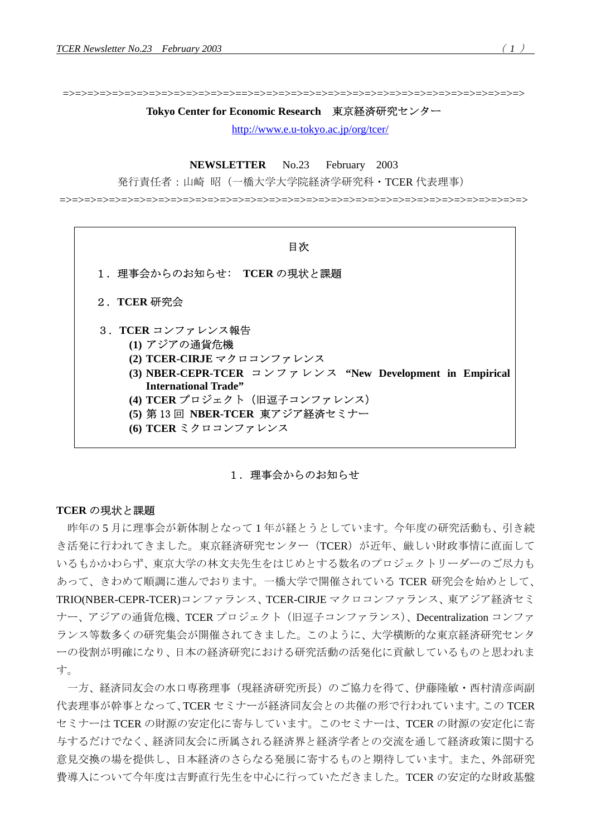=>=>=>=>=>=>=>=>=>=>=>=>=>=>==>=>=>=>=>=>=>=>=>=>=>=>=>=>=>=>=>=>=>=>=>=>=>

#### **Tokyo Center for Economic Research** 東京経済研究センター

<http://www.e.u-tokyo.ac.jp/org/tcer/>

**NEWSLETTER** No.23 February 2003

発行責任者:山崎 昭(一橋大学大学院経済学研究科・TCER 代表理事)

=>=>=>=>=>=>=>=>=>=>=>=>=>=>=>=>=>=>=>=>=>=>=>=>=>=>=>=>=>=>=>=>=>=>=>=>=>=>



# 1. 理事会からのお知らせ

# **TCER** の現状と課題

昨年の 5 月に理事会が新体制となって 1 年が経とうとしています。今年度の研究活動も、引き続 き活発に行われてきました。東京経済研究センター(TCER)が近年、厳しい財政事情に直面して いるもかかわらず、東京大学の林文夫先生をはじめとする数名のプロジェクトリーダーのご尽力も あって、きわめて順調に進んでおります。一橋大学で開催されている TCER 研究会を始めとして、 TRIO(NBER-CEPR-TCER)コンファランス、TCER-CIRJE マクロコンファランス、東アジア経済セミ ナー、アジアの通貨危機、TCER プロジェクト(旧逗子コンファランス)、Decentralization コンファ ランス等数多くの研究集会が開催されてきました。このように、大学横断的な東京経済研究センタ ーの役割が明確になり、日本の経済研究における研究活動の活発化に貢献しているものと思われま す。

一方、経済同友会の水口専務理事(現経済研究所長)のご協力を得て、伊藤隆敏・西村清彦両副 代表理事が幹事となって、TCER セミナーが経済同友会との共催の形で行われています。この TCER セミナーは TCER の財源の安定化に寄与しています。このセミナーは、TCER の財源の安定化に寄 与するだけでなく、経済同友会に所属される経済界と経済学者との交流を通して経済政策に関する 意見交換の場を提供し、日本経済のさらなる発展に寄するものと期待しています。また、外部研究 費導入について今年度は吉野直行先生を中心に行っていただきました。TCER の安定的な財政基盤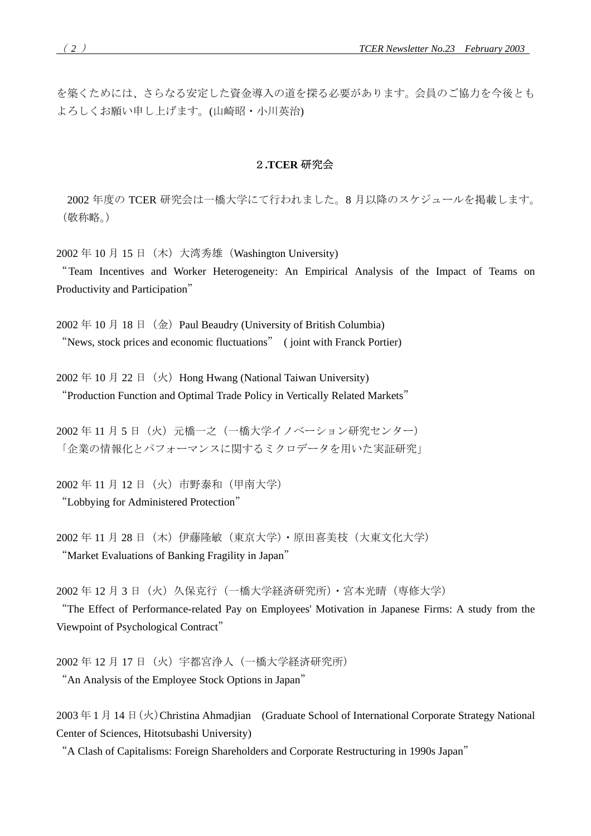を築くためには、さらなる安定した資金導入の道を探る必要があります。会員のご協力を今後とも よろしくお願い申し上げます。(山崎昭・小川英治)

## 2**.TCER** 研究会

2002 年度の TCER 研究会は一橋大学にて行われました。8 月以降のスケジュールを掲載します。 (敬称略。)

2002年 10月 15日 (木) 大湾秀雄 (Washington University)

"Team Incentives and Worker Heterogeneity: An Empirical Analysis of the Impact of Teams on Productivity and Participation"

 $2002 \nleftrightarrow 10 \nleftrightarrow 18 \nleftrightarrow (\nleftrightarrow)$  Paul Beaudry (University of British Columbia) "News, stock prices and economic fluctuations" ( joint with Franck Portier)

 $2002 \ncong 10 \ncong 22 \ncong (\ncong)$  Hong Hwang (National Taiwan University) "Production Function and Optimal Trade Policy in Vertically Related Markets"

2002年11月5日 (火)元橋一之(一橋大学イノベーション研究センター) 「企業の情報化とパフォーマンスに関するミクロデータを用いた実証研究」

2002 年 11 月 12 日(火)市野泰和(甲南大学) "Lobbying for Administered Protection"

2002年11月28日(木)伊藤隆敏(東京大学)·原田喜美枝(大東文化大学) "Market Evaluations of Banking Fragility in Japan"

2002 年 12 月 3 日 (火) 久保克行(一橋大学経済研究所)・宮本光晴(専修大学)

"The Effect of Performance-related Pay on Employees' Motivation in Japanese Firms: A study from the Viewpoint of Psychological Contract"

2002 年 12 月 17 日(火)宇都宮浄人(一橋大学経済研究所) "An Analysis of the Employee Stock Options in Japan"

2003 年 1 月 14 日 (火) Christina Ahmadiian (Graduate School of International Corporate Strategy National Center of Sciences, Hitotsubashi University)

"A Clash of Capitalisms: Foreign Shareholders and Corporate Restructuring in 1990s Japan"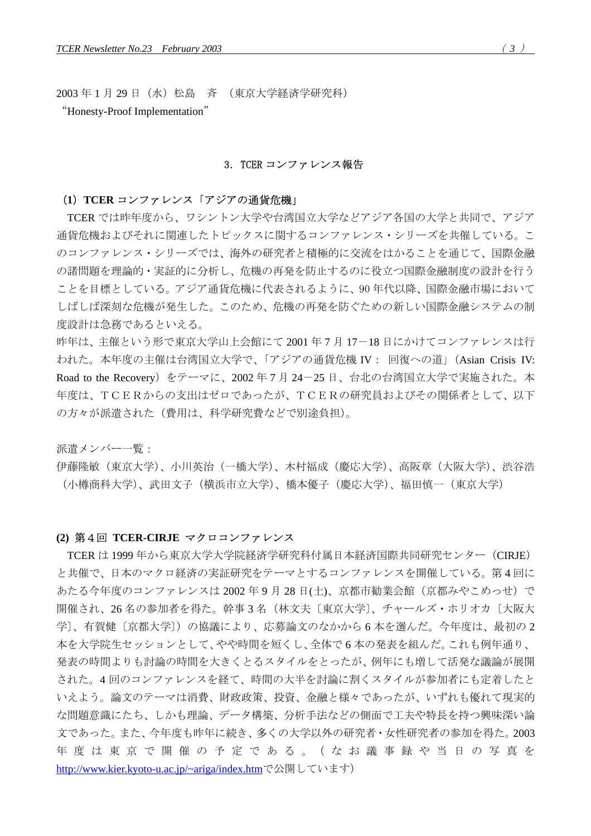2003 年 1 月 29 日(水)松島 斉 (東京大学経済学研究科)

"Honesty-Proof Implementation"

#### 3.TCER コンファレンス報告

### (**1**)**TCER** コンファレンス「アジアの通貨危機」

TCER では昨年度から、ワシントン大学や台湾国立大学などアジア各国の大学と共同で、アジア 通貨危機およびそれに関連したトピックスに関するコンファレンス・シリーズを共催している。こ のコンファレンス・シリーズでは、海外の研究者と積極的に交流をはかることを通じて、国際金融 の諸問題を理論的・実証的に分析し、危機の再発を防止するのに役立つ国際金融制度の設計を行う ことを目標としている。アジア通貨危機に代表されるように、90 年代以降、国際金融市場において しばしば深刻な危機が発生した。このため、危機の再発を防ぐための新しい国際金融システムの制 度設計は急務であるといえる。

昨年は、主催という形で東京大学山上会館にて 2001 年 7 月 17-18 日にかけてコンファレンスは行 われた。本年度の主催は台湾国立大学で、「アジアの通貨危機 IV: 回復への道」(Asian Crisis IV: Road to the Recovery)をテーマに、2002 年 7 月 24-25 日、台北の台湾国立大学で実施された。本 年度は、TCERからの支出はゼロであったが、TCERの研究員およびその関係者として、以下 の方々が派遣された(費用は、科学研究費などで別途負担)。

派遣メンバー一覧:

伊藤隆敏(東京大学)、小川英治(一橋大学)、木村福成(慶応大学)、高阪章(大阪大学)、渋谷浩 (小樽商科大学)、武田文子(横浜市立大学)、橋本優子(慶応大学)、福田慎一(東京大学)

#### **(2)** 第4回 **TCER-CIRJE** マクロコンファレンス

TCER は 1999 年から東京大学大学院経済学研究科付属日本経済国際共同研究センター(CIRJE) と共催で、日本のマクロ経済の実証研究をテーマとするコンファレンスを開催している。第 4 回に あたる今年度のコンファレンスは 2002年9月 28日(土)、京都市勧業会館(京都みやこめっせ)で 開催され、26 名の参加者を得た。幹事 3 名(林文夫〔東京大学〕、チャールズ・ホリオカ〔大阪大 学〕、有賀健〔京都大学〕)の協議により、応募論文のなかから6本を選んだ。今年度は、最初の2 本を大学院生セッションとして、やや時間を短くし、全体で 6 本の発表を組んだ。これも例年通り、 発表の時間よりも討論の時間を大きくとるスタイルをとったが、例年にも増して活発な議論が展開 された。4 回のコンファレンスを経て、時間の大半を討論に割くスタイルが参加者にも定着したと いえよう。論文のテーマは消費、財政政策、投資、金融と様々であったが、いずれも優れて現実的 な問題意識にたち、しかも理論、データ構築、分析手法などの側面で工夫や特長を持つ興味深い論 文であった。また、今年度も昨年に続き、多くの大学以外の研究者・女性研究者の参加を得た。2003 年度は東京で開催の 予 定 で あ る 。( な お 議 事 録や当 日 の 写 真 を <http://www.kier.kyoto-u.ac.jp/~ariga/index.htm></u>で公開しています)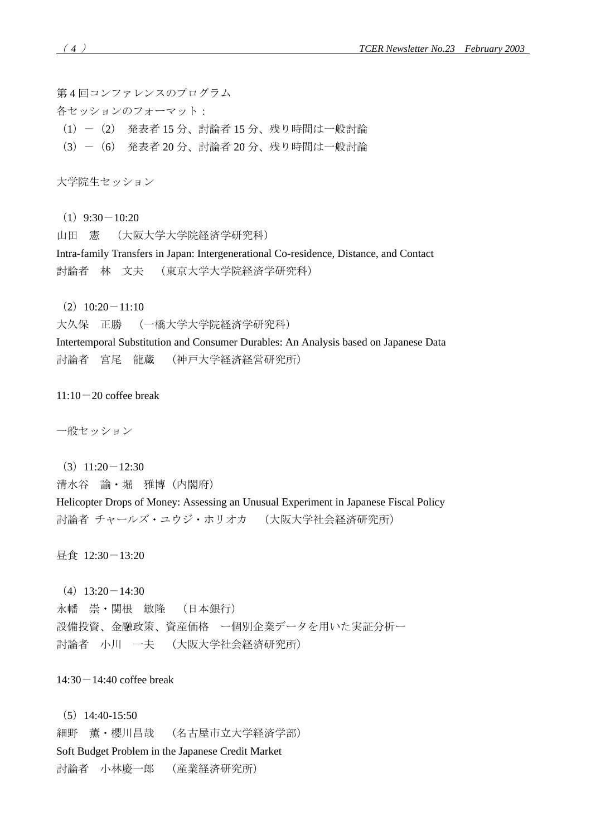第 4 回コンファレンスのプログラム

各セッションのフォーマット:

- (1)-(2) 発表者 15 分、討論者 15 分、残り時間は一般討論
- (3)-(6) 発表者 20 分、討論者 20 分、残り時間は一般討論

大学院生セッション

- $(1)$  9:30  $-10:20$
- 山田 憲 (大阪大学大学院経済学研究科)

Intra-family Transfers in Japan: Intergenerational Co-residence, Distance, and Contact 討論者 林 文夫 (東京大学大学院経済学研究科)

 $(2)$  10:20  $-11:10$ 

大久保 正勝 (一橋大学大学院経済学研究科)

Intertemporal Substitution and Consumer Durables: An Analysis based on Japanese Data 討論者 宮尾 龍蔵 (神戸大学経済経営研究所)

 $11:10-20$  coffee break

一般セッション

 $(3)$  11:20  $-12:30$ 

清水谷 諭・堀 雅博(内閣府)

Helicopter Drops of Money: Assessing an Unusual Experiment in Japanese Fiscal Policy 討論者 チャールズ・ユウジ・ホリオカ (大阪大学社会経済研究所)

昼食 12:30-13:20

 $(4)$  13:20  $-14:30$ 

永幡 崇・関根 敏隆 (日本銀行) 設備投資、金融政策、資産価格 ー個別企業データを用いた実証分析ー 討論者 小川 一夫 (大阪大学社会経済研究所)

 $14:30-14:40$  coffee break

 $(5)$  14:40-15:50 細野 薫・櫻川昌哉 (名古屋市立大学経済学部) Soft Budget Problem in the Japanese Credit Market 討論者 小林慶一郎 (産業経済研究所)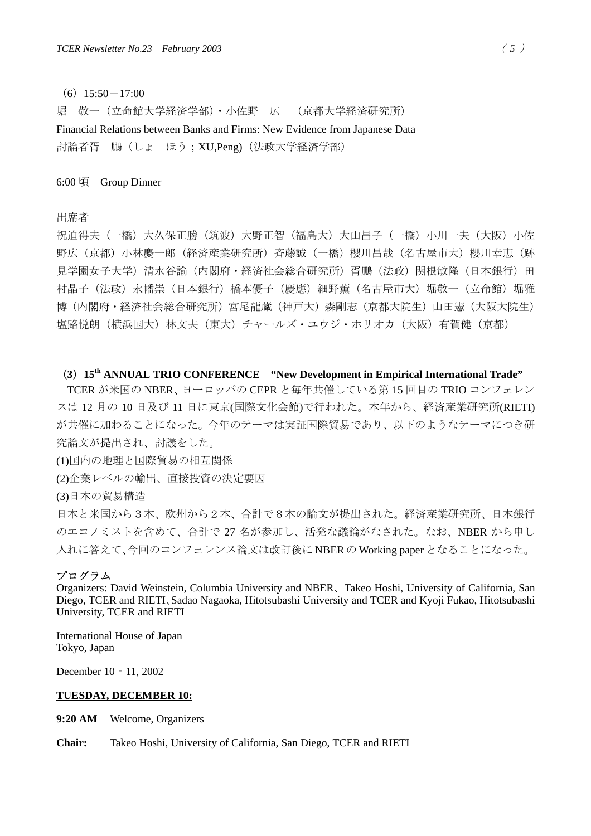# $(6)$  15:50 $-17:00$

堀 敬一(立命館大学経済学部)・小佐野 広 (京都大学経済研究所) Financial Relations between Banks and Firms: New Evidence from Japanese Data 討論者胥 鵬(しょ ほう;XU,Peng)(法政大学経済学部)

6:00 頃 Group Dinner

出席者

祝迫得夫(一橋)大久保正勝(筑波)大野正智(福島大)大山昌子(一橋)小川一夫(大阪)小佐 野広(京都)小林慶一郎(経済産業研究所)斉藤誠(一橋)櫻川昌哉(名古屋市大)櫻川幸恵(跡 見学園女子大学)清水谷諭(内閣府・経済社会総合研究所)胥鵬(法政)関根敏隆(日本銀行)田 村晶子(法政)永幡崇(日本銀行)橋本優子(慶應)細野薫(名古屋市大)堀敬一(立命館)堀雅 博(内閣府・経済社会総合研究所)宮尾龍蔵(神戸大)森剛志(京都大院生)山田憲(大阪大院生) 塩路悦朗(横浜国大)林文夫(東大)チャールズ・ユウジ・ホリオカ(大阪)有賀健(京都)

# (**3**)**15th ANNUAL TRIO CONFERENCE "New Development in Empirical International Trade"**

TCER が米国の NBER、ヨーロッパの CEPR と毎年共催している第 15 回目の TRIO コンフェレン スは 12 月の 10 日及び 11 日に東京(国際文化会館)で行われた。本年から、経済産業研究所(RIETI) が共催に加わることになった。今年のテーマは実証国際貿易であり、以下のようなテーマにつき研 究論文が提出され、討議をした。

(1)国内の地理と国際貿易の相互関係

(2)企業レベルの輸出、直接投資の決定要因

(3)日本の貿易構造

日本と米国から3本、欧州から2本、合計で8本の論文が提出された。経済産業研究所、日本銀行 のエコノミストを含めて、合計で 27 名が参加し、活発な議論がなされた。なお、NBER から申し 入れに答えて、今回のコンフェレンス論文は改訂後に NBER の Working paper となることになった。

#### プログラム

Organizers: David Weinstein, Columbia University and NBER、Takeo Hoshi, University of California, San Diego, TCER and RIETI、Sadao Nagaoka, Hitotsubashi University and TCER and Kyoji Fukao, Hitotsubashi University, TCER and RIETI

International House of Japan Tokyo, Japan

December 10 - 11, 2002

#### **TUESDAY, DECEMBER 10:**

**9:20 AM** Welcome, Organizers

**Chair:** Takeo Hoshi, University of California, San Diego, TCER and RIETI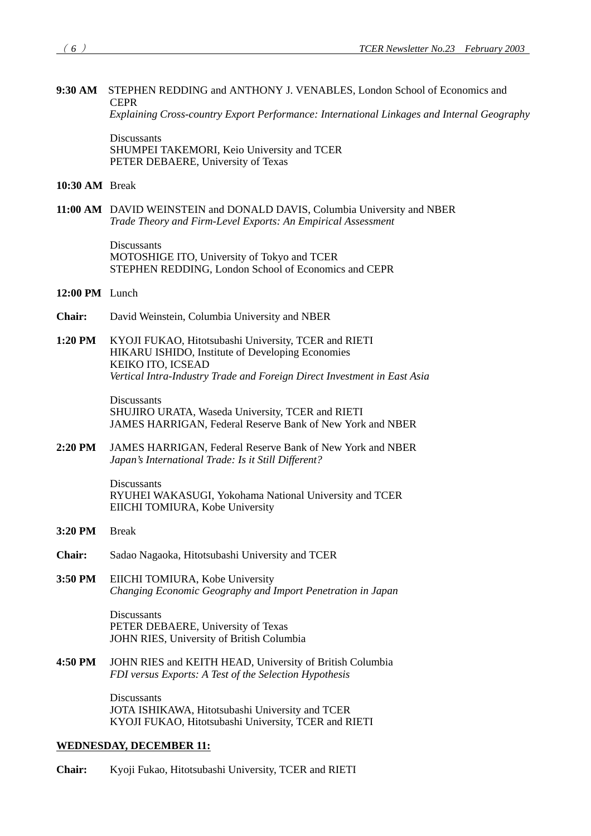**9:30 AM** STEPHEN REDDING and ANTHONY J. VENABLES, London School of Economics and **CEPR** 

*Explaining Cross-country Export Performance: International Linkages and Internal Geography* 

**Discussants**  SHUMPEI TAKEMORI, Keio University and TCER PETER DEBAERE, University of Texas

**10:30 AM** Break

**11:00 AM** DAVID WEINSTEIN and DONALD DAVIS, Columbia University and NBER *Trade Theory and Firm-Level Exports: An Empirical Assessment*

> Discussants MOTOSHIGE ITO, University of Tokyo and TCER STEPHEN REDDING, London School of Economics and CEPR

- **12:00 PM** Lunch
- **Chair:** David Weinstein, Columbia University and NBER
- **1:20 PM** KYOJI FUKAO, Hitotsubashi University, TCER and RIETI HIKARU ISHIDO, Institute of Developing Economies KEIKO ITO, ICSEAD  *Vertical Intra-Industry Trade and Foreign Direct Investment in East Asia*

Discussants SHUJIRO URATA, Waseda University, TCER and RIETI JAMES HARRIGAN, Federal Reserve Bank of New York and NBER

**2:20 PM** JAMES HARRIGAN, Federal Reserve Bank of New York and NBER  *Japan's International Trade: Is it Still Different?* 

> Discussants RYUHEI WAKASUGI, Yokohama National University and TCER EIICHI TOMIURA, Kobe University

- **3:20 PM** Break
- **Chair:** Sadao Nagaoka, Hitotsubashi University and TCER
- **3:50 PM** EIICHI TOMIURA, Kobe University  *Changing Economic Geography and Import Penetration in Japan*

Discussants PETER DEBAERE, University of Texas JOHN RIES, University of British Columbia

**4:50 PM** JOHN RIES and KEITH HEAD, University of British Columbia *FDI versus Exports: A Test of the Selection Hypothesis* 

> Discussants JOTA ISHIKAWA, Hitotsubashi University and TCER KYOJI FUKAO, Hitotsubashi University, TCER and RIETI

# **WEDNESDAY, DECEMBER 11:**

**Chair:** Kyoji Fukao, Hitotsubashi University, TCER and RIETI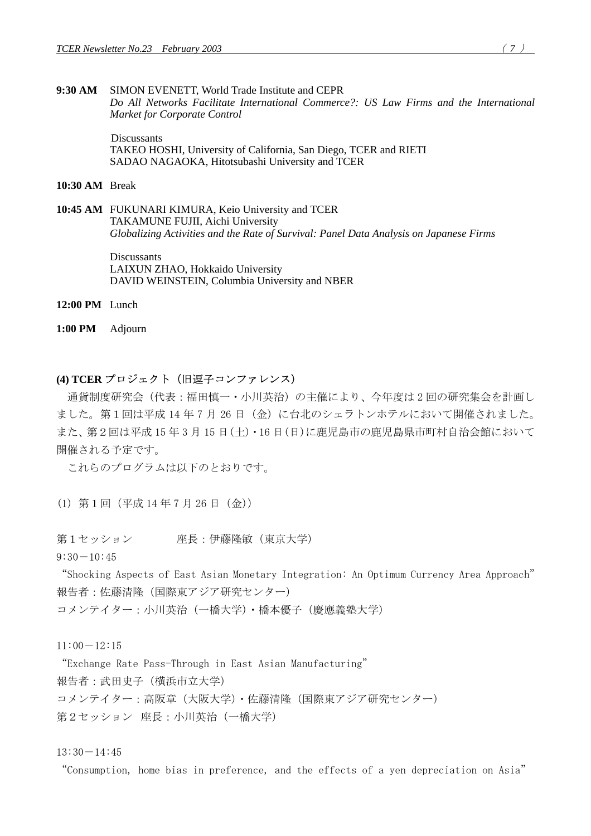## **9:30 AM** SIMON EVENETT, World Trade Institute and CEPR *Do All Networks Facilitate International Commerce?: US Law Firms and the International Market for Corporate Control*

Discussants TAKEO HOSHI, University of California, San Diego, TCER and RIETI SADAO NAGAOKA, Hitotsubashi University and TCER

**10:30 AM** Break

**10:45 AM** FUKUNARI KIMURA, Keio University and TCER TAKAMUNE FUJII, Aichi University *Globalizing Activities and the Rate of Survival: Panel Data Analysis on Japanese Firms* 

> Discussants LAIXUN ZHAO, Hokkaido University DAVID WEINSTEIN, Columbia University and NBER

**12:00 PM** Lunch

**1:00 PM** Adjourn

# **(4) TCER** プロジェクト(旧逗子コンファレンス)

通貨制度研究会(代表:福田慎一・小川英治)の主催により、今年度は 2 回の研究集会を計画し ました。第1回は平成14年7月26日(金)に台北のシェラトンホテルにおいて開催されました。 また、第2回は平成 15 年 3 月 15 日(土)・16 日(日)に鹿児島市の鹿児島県市町村自治会館において 開催される予定です。

これらのプログラムは以下のとおりです。

(1) 第1回(平成 14 年 7 月 26 日(金))

第1セッション 座長:伊藤隆敏(東京大学)

 $9:30-10:45$ 

"Shocking Aspects of East Asian Monetary Integration: An Optimum Currency Area Approach" 報告者:佐藤清隆(国際東アジア研究センター)

コメンテイター:小川英治(一橋大学)・橋本優子(慶應義塾大学)

 $11:00-12:15$ 

"Exchange Rate Pass-Through in East Asian Manufacturing" 報告者:武田史子(横浜市立大学) コメンテイター:高阪章(大阪大学)・佐藤清隆(国際東アジア研究センター) 第2セッション 座長:小川英治(一橋大学)

 $13:30-14:45$ 

"Consumption, home bias in preference, and the effects of a yen depreciation on Asia"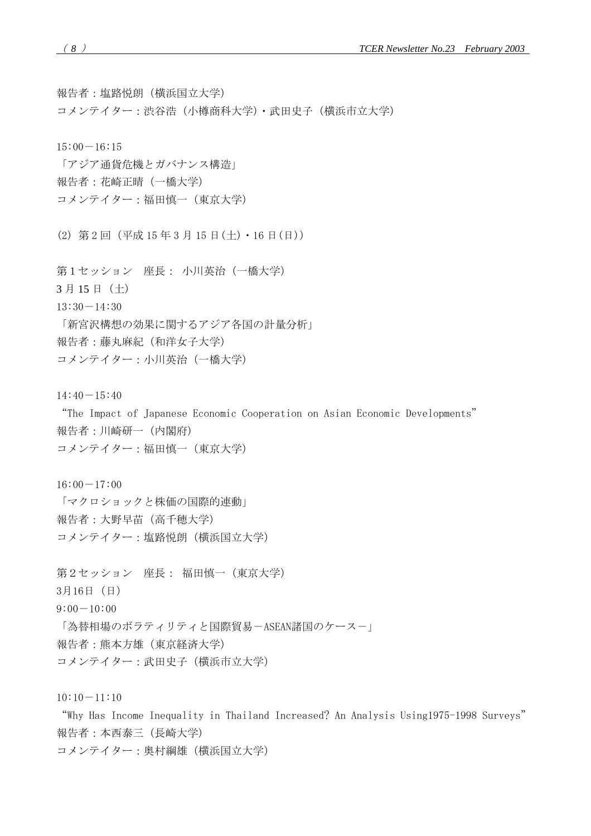報告者:塩路悦朗(横浜国立大学)

コメンテイター:渋谷浩(小樽商科大学)・武田史子(横浜市立大学)

 $15:00-16:15$ 

「アジア通貨危機とガバナンス構造」 報告者:花崎正晴(一橋大学) コメンテイター:福田慎一(東京大学)

(2) 第 2 回(平成 15 年 3 月 15 日(土)・16 日(日))

第1セッション 座長: 小川英治(一橋大学) 3 月 15 日(土)  $13:30-14:30$ 「新宮沢構想の効果に関するアジア各国の計量分析」 報告者:藤丸麻紀(和洋女子大学) コメンテイター:小川英治(一橋大学)

 $14:40-15:40$ 

"The Impact of Japanese Economic Cooperation on Asian Economic Developments" 報告者:川崎研一(内閣府) コメンテイター:福田慎一(東京大学)

 $16:00-17:00$ 「マクロショックと株価の国際的連動」 報告者:大野早苗(高千穂大学) コメンテイター:塩路悦朗(横浜国立大学)

第2セッション 座長: 福田慎一(東京大学) 3月16日(日)  $9:00-10:00$ 「為替相場のボラティリティと国際貿易-ASEAN諸国のケース-」 報告者:熊本方雄(東京経済大学) コメンテイター:武田史子(横浜市立大学)

 $10:10-11:10$ 

"Why Has Income Inequality in Thailand Increased? An Analysis Using1975-1998 Surveys" 報告者:本西泰三(長崎大学)

コメンテイター:奥村綱雄(横浜国立大学)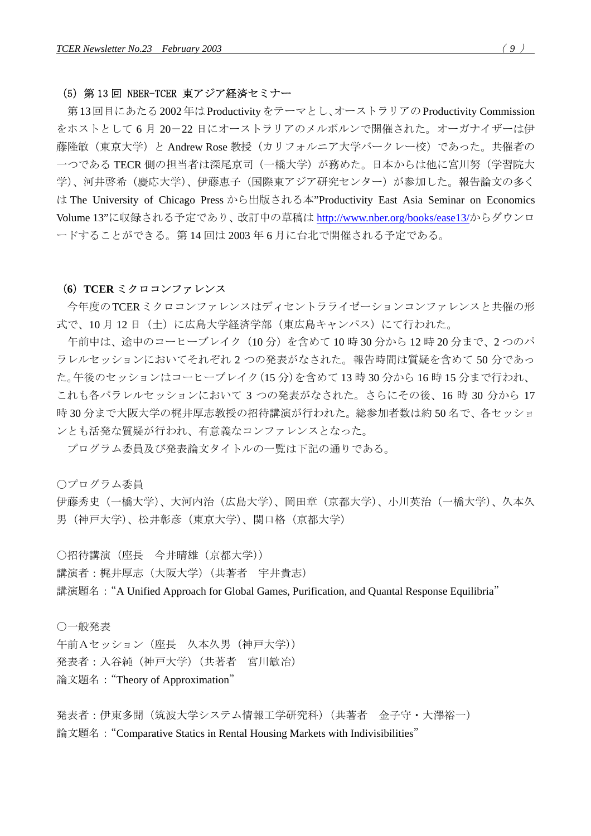# (5)第 13 回 NBER-TCER 東アジア経済セミナー

第13回目にあたる2002年はProductivity をテーマとし、オーストラリアのProductivity Commission をホストとして 6 月 20-22 日にオーストラリアのメルボルンで開催された。オーガナイザーは伊 藤隆敏(東京大学)と Andrew Rose 教授(カリフォルニア大学バークレー校)であった。共催者の 一つである TECR 側の担当者は深尾京司(一橋大学)が務めた。日本からは他に宮川努(学習院大 学)、河井啓希(慶応大学)、伊藤恵子(国際東アジア研究センター)が参加した。報告論文の多く は The University of Chicago Press から出版される本"Productivity East Asia Seminar on Economics Volume 13"に収録される予定であり、改訂中の草稿は <http://www.nber.org/books/ease13/>からダウンロ ードすることができる。第 14 回は 2003 年 6 月に台北で開催される予定である。

#### (**6**)**TCER** ミクロコンファレンス

今年度のTCERミクロコンファレンスはディセントラライゼーションコンファレンスと共催の形 式で、10月12日(土)に広島大学経済学部(東広島キャンパス)にて行われた。

午前中は、途中のコーヒーブレイク(10 分)を含めて 10 時 30 分から 12 時 20 分まで、2 つのパ ラレルセッションにおいてそれぞれ 2 つの発表がなされた。報告時間は質疑を含めて 50 分であっ た。午後のセッションはコーヒーブレイク(15 分)を含めて 13 時 30 分から 16 時 15 分まで行われ、 これも各パラレルセッションにおいて 3 つの発表がなされた。さらにその後、16 時 30 分から 17 時 30 分まで大阪大学の梶井厚志教授の招待講演が行われた。総参加者数は約 50 名で、各セッショ ンとも活発な質疑が行われ、有意義なコンファレンスとなった。

プログラム委員及び発表論文タイトルの一覧は下記の通りである。

○プログラム委員

伊藤秀史(一橋大学)、大河内治(広島大学)、岡田章(京都大学)、小川英治(一橋大学)、久本久 男(神戸大学)、松井彰彦(東京大学)、関口格(京都大学)

○招待講演(座長 今井晴雄(京都大学)) 講演者:梶井厚志(大阪大学)(共著者 宇井貴志) 講演題名: "A Unified Approach for Global Games, Purification, and Quantal Response Equilibria"

○一般発表 午前Aセッション(座長 久本久男(神戸大学)) 発表者:入谷純(神戸大学)(共著者 宮川敏冶) 論文題名:"Theory of Approximation"

発表者:伊東多聞(筑波大学システム情報工学研究科)(共著者 金子守・大澤裕一) 論文題名: "Comparative Statics in Rental Housing Markets with Indivisibilities"